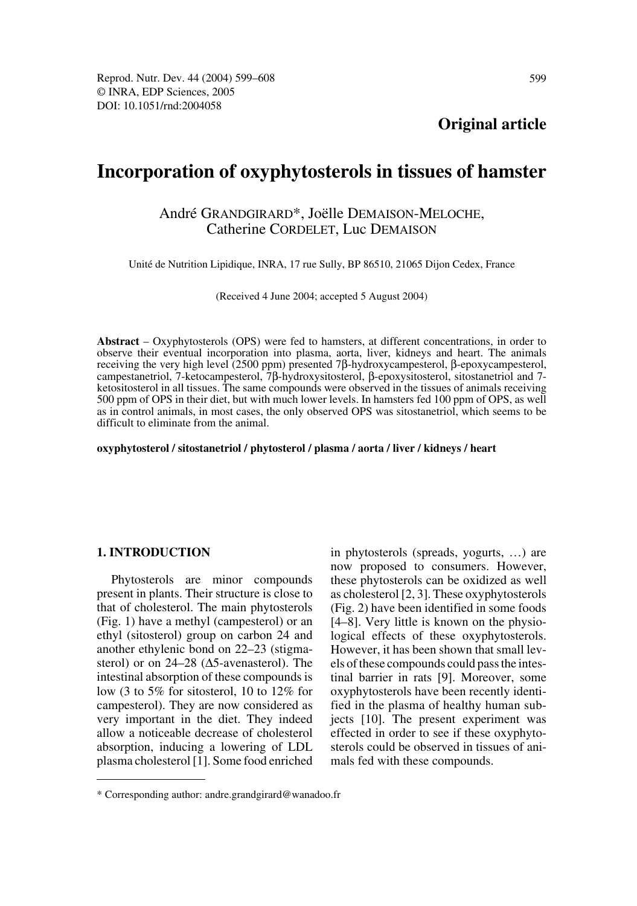# **Incorporation of oxyphytosterols in tissues of hamster**

# André GRANDGIRARD\*, Joëlle DEMAISON-MELOCHE, Catherine CORDELET, Luc DEMAISON

Unité de Nutrition Lipidique, INRA, 17 rue Sully, BP 86510, 21065 Dijon Cedex, France

(Received 4 June 2004; accepted 5 August 2004)

**Abstract** – Oxyphytosterols (OPS) were fed to hamsters, at different concentrations, in order to observe their eventual incorporation into plasma, aorta, liver, kidneys and heart. The animals receiving the very high level (2500 ppm) presented 7β-hydroxycampesterol, β-epoxycampesterol, campestanetriol, 7-ketocampesterol, 7β-hydroxysitosterol, β-epoxysitosterol, sitostanetriol and 7 ketositosterol in all tissues. The same compounds were observed in the tissues of animals receiving 500 ppm of OPS in their diet, but with much lower levels. In hamsters fed 100 ppm of OPS, as well as in control animals, in most cases, the only observed OPS was sitostanetriol, which seems to be difficult to eliminate from the animal.

**oxyphytosterol / sitostanetriol / phytosterol / plasma / aorta / liver / kidneys / heart**

## **1. INTRODUCTION**

Phytosterols are minor compounds present in plants. Their structure is close to that of cholesterol. The main phytosterols (Fig. 1) have a methyl (campesterol) or an ethyl (sitosterol) group on carbon 24 and another ethylenic bond on 22–23 (stigmasterol) or on 24–28 (∆5-avenasterol). The intestinal absorption of these compounds is low (3 to 5% for sitosterol, 10 to 12% for campesterol). They are now considered as very important in the diet. They indeed allow a noticeable decrease of cholesterol absorption, inducing a lowering of LDL plasma cholesterol [1]. Some food enriched in phytosterols (spreads, yogurts, …) are now proposed to consumers. However, these phytosterols can be oxidized as well as cholesterol [2, 3]. These oxyphytosterols (Fig. 2) have been identified in some foods [4–8]. Very little is known on the physiological effects of these oxyphytosterols. However, it has been shown that small levels of these compounds could pass the intestinal barrier in rats [9]. Moreover, some oxyphytosterols have been recently identified in the plasma of healthy human subjects [10]. The present experiment was effected in order to see if these oxyphytosterols could be observed in tissues of animals fed with these compounds.

<sup>\*</sup> Corresponding author: andre.grandgirard@wanadoo.fr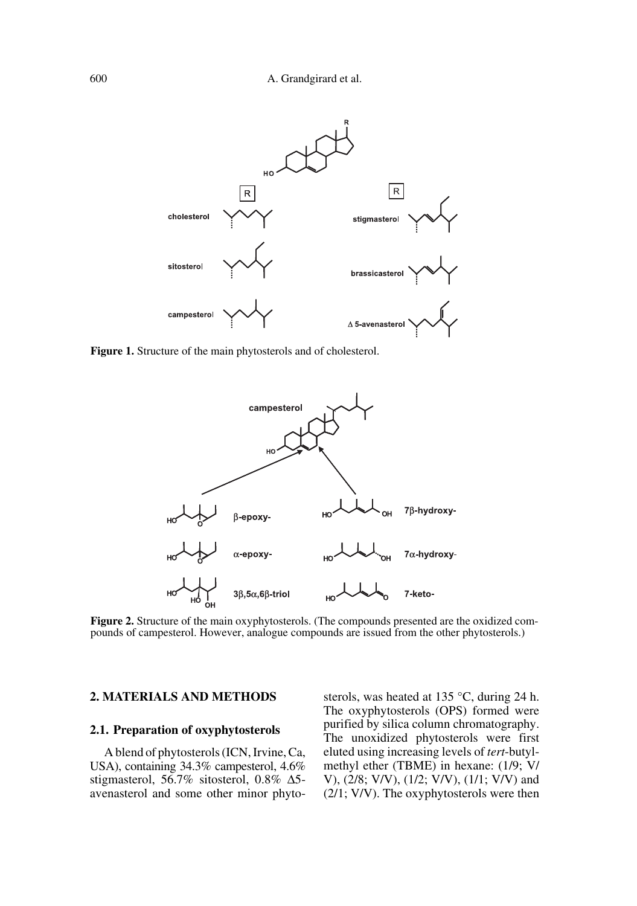

**Figure 1.** Structure of the main phytosterols and of cholesterol.



**Figure 2.** Structure of the main oxyphytosterols. (The compounds presented are the oxidized compounds of campesterol. However, analogue compounds are issued from the other phytosterols.)

# **2. MATERIALS AND METHODS**

## **2.1. Preparation of oxyphytosterols**

A blend of phytosterols (ICN, Irvine, Ca, USA), containing 34.3% campesterol, 4.6% stigmasterol, 56.7% sitosterol, 0.8% ∆5 avenasterol and some other minor phytosterols, was heated at 135 °C, during 24 h. The oxyphytosterols (OPS) formed were purified by silica column chromatography. The unoxidized phytosterols were first eluted using increasing levels of *tert*-butylmethyl ether (TBME) in hexane: (1/9; V/ V), (2/8; V/V), (1/2; V/V), (1/1; V/V) and (2/1; V/V). The oxyphytosterols were then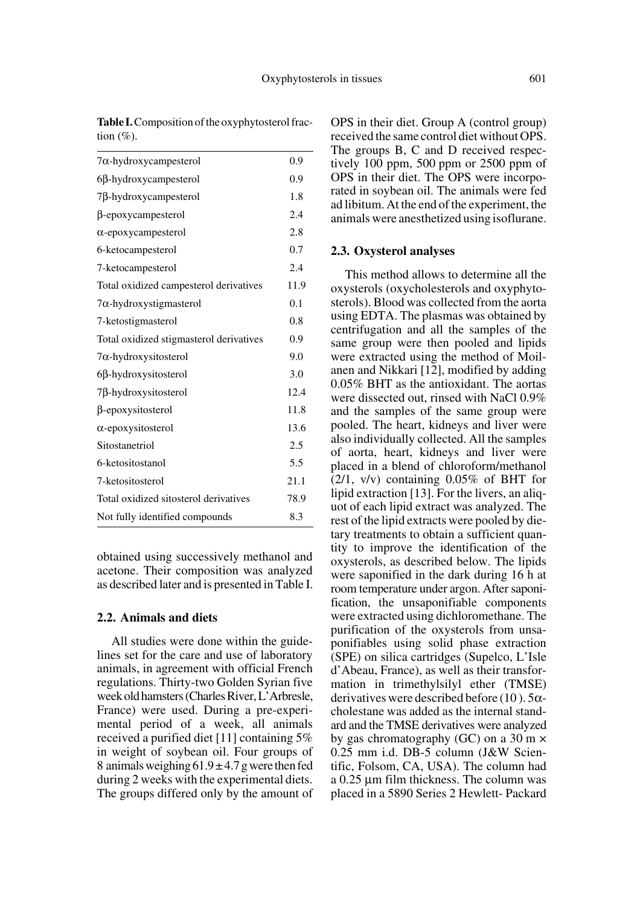| $7\alpha$ -hydroxycampesterol           | 0.9  |
|-----------------------------------------|------|
| $6\beta$ -hydroxycampesterol            | 0.9  |
| $7\beta$ -hydroxycampesterol            | 1.8  |
| $\beta$ -epoxycampesterol               | 2.4  |
| $\alpha$ -epoxycampesterol              | 2.8  |
| 6-ketocampesterol                       | 0.7  |
| 7-ketocampesterol                       | 2.4  |
| Total oxidized campesterol derivatives  | 11.9 |
| $7\alpha$ -hydroxystigmasterol          | 0.1  |
| 7-ketostigmasterol                      | 0.8  |
| Total oxidized stigmasterol derivatives | 0.9  |
| $7\alpha$ -hydroxysitosterol            | 9.0  |
| $6\beta$ -hydroxysitosterol             | 3.0  |
| 7 <sub>B</sub> -hydroxysitosterol       | 12.4 |
| β-epoxysitosterol                       | 11.8 |
| $\alpha$ -epoxysitosterol               | 13.6 |
| Sitostanetriol                          | 2.5  |
| 6-ketositostanol                        | 5.5  |
| 7-ketositosterol                        | 21.1 |
| Total oxidized sitosterol derivatives   | 78.9 |
| Not fully identified compounds          | 8.3  |

**Table I.** Composition of the oxyphytosterol fraction  $(\% )$ .

obtained using successively methanol and acetone. Their composition was analyzed as described later and is presented in Table I.

# **2.2. Animals and diets**

All studies were done within the guidelines set for the care and use of laboratory animals, in agreement with official French regulations. Thirty-two Golden Syrian five week old hamsters (Charles River, L'Arbresle, France) were used. During a pre-experimental period of a week, all animals received a purified diet [11] containing 5% in weight of soybean oil. Four groups of 8 animals weighing  $61.9 \pm 4.7$  g were then fed during 2 weeks with the experimental diets. The groups differed only by the amount of OPS in their diet. Group A (control group) received the same control diet without OPS. The groups B, C and D received respectively 100 ppm, 500 ppm or 2500 ppm of OPS in their diet. The OPS were incorporated in soybean oil. The animals were fed ad libitum. At the end of the experiment, the animals were anesthetized using isoflurane.

#### **2.3. Oxysterol analyses**

This method allows to determine all the oxysterols (oxycholesterols and oxyphytosterols). Blood was collected from the aorta using EDTA. The plasmas was obtained by centrifugation and all the samples of the same group were then pooled and lipids were extracted using the method of Moilanen and Nikkari [12], modified by adding 0.05% BHT as the antioxidant. The aortas were dissected out, rinsed with NaCl 0.9% and the samples of the same group were pooled. The heart, kidneys and liver were also individually collected. All the samples of aorta, heart, kidneys and liver were placed in a blend of chloroform/methanol (2/1, v/v) containing 0.05% of BHT for lipid extraction [13]. For the livers, an aliquot of each lipid extract was analyzed. The rest of the lipid extracts were pooled by dietary treatments to obtain a sufficient quantity to improve the identification of the oxysterols, as described below. The lipids were saponified in the dark during 16 h at room temperature under argon. After saponification, the unsaponifiable components were extracted using dichloromethane. The purification of the oxysterols from unsaponifiables using solid phase extraction (SPE) on silica cartridges (Supelco, L'Isle d'Abeau, France), as well as their transformation in trimethylsilyl ether (TMSE) derivatives were described before (10).  $5\alpha$ cholestane was added as the internal standard and the TMSE derivatives were analyzed by gas chromatography (GC) on a 30 m × 0.25 mm i.d. DB-5 column (J&W Scientific, Folsom, CA, USA). The column had a 0.25 µm film thickness. The column was placed in a 5890 Series 2 Hewlett- Packard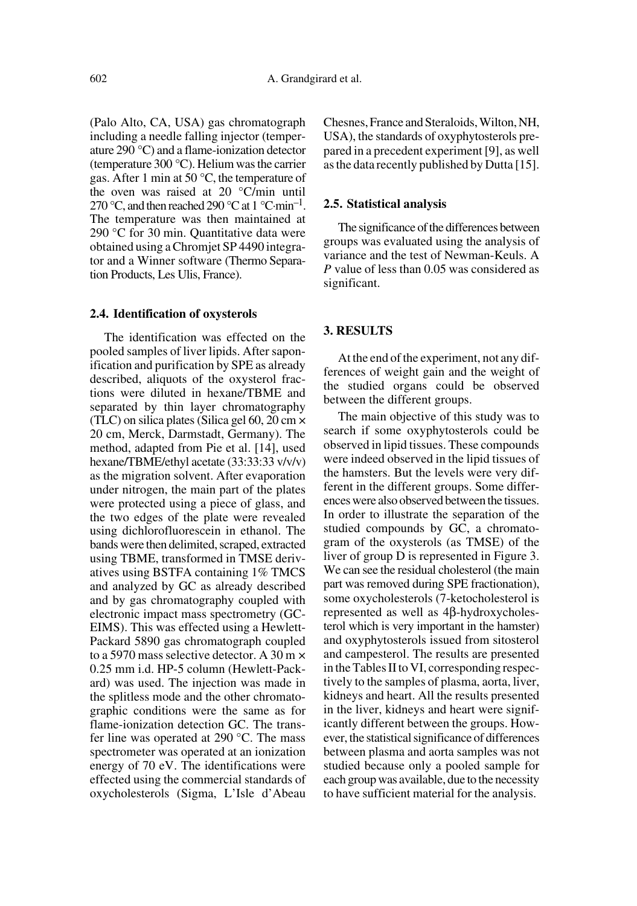(Palo Alto, CA, USA) gas chromatograph including a needle falling injector (temperature 290 °C) and a flame-ionization detector (temperature 300 °C). Helium was the carrier gas. After 1 min at 50 °C, the temperature of the oven was raised at 20 °C/min until 270 °C, and then reached 290 °C at 1 °C·min<sup>-1</sup>. The temperature was then maintained at 290 °C for 30 min. Quantitative data were obtained using a Chromjet SP 4490 integrator and a Winner software (Thermo Separation Products, Les Ulis, France).

#### **2.4. Identification of oxysterols**

The identification was effected on the pooled samples of liver lipids. After saponification and purification by SPE as already described, aliquots of the oxysterol fractions were diluted in hexane/TBME and separated by thin layer chromatography (TLC) on silica plates (Silica gel  $60$ ,  $20 \text{ cm} \times$ 20 cm, Merck, Darmstadt, Germany). The method, adapted from Pie et al. [14], used hexane/TBME/ethyl acetate (33:33:33 v/v/v) as the migration solvent. After evaporation under nitrogen, the main part of the plates were protected using a piece of glass, and the two edges of the plate were revealed using dichlorofluorescein in ethanol. The bands were then delimited, scraped, extracted using TBME, transformed in TMSE derivatives using BSTFA containing 1% TMCS and analyzed by GC as already described and by gas chromatography coupled with electronic impact mass spectrometry (GC-EIMS). This was effected using a Hewlett-Packard 5890 gas chromatograph coupled to a 5970 mass selective detector. A 30 m × 0.25 mm i.d. HP-5 column (Hewlett-Packard) was used. The injection was made in the splitless mode and the other chromatographic conditions were the same as for flame-ionization detection GC. The transfer line was operated at 290 °C. The mass spectrometer was operated at an ionization energy of 70 eV. The identifications were effected using the commercial standards of oxycholesterols (Sigma, L'Isle d'Abeau Chesnes, France and Steraloids, Wilton, NH, USA), the standards of oxyphytosterols prepared in a precedent experiment [9], as well as the data recently published by Dutta [15].

# **2.5. Statistical analysis**

The significance of the differences between groups was evaluated using the analysis of variance and the test of Newman-Keuls. A *P* value of less than 0.05 was considered as significant.

# **3. RESULTS**

At the end of the experiment, not any differences of weight gain and the weight of the studied organs could be observed between the different groups.

The main objective of this study was to search if some oxyphytosterols could be observed in lipid tissues. These compounds were indeed observed in the lipid tissues of the hamsters. But the levels were very different in the different groups. Some differences were also observed between the tissues. In order to illustrate the separation of the studied compounds by GC, a chromatogram of the oxysterols (as TMSE) of the liver of group D is represented in Figure 3. We can see the residual cholesterol (the main part was removed during SPE fractionation), some oxycholesterols (7-ketocholesterol is represented as well as 4β-hydroxycholesterol which is very important in the hamster) and oxyphytosterols issued from sitosterol and campesterol. The results are presented in the Tables II to VI, corresponding respectively to the samples of plasma, aorta, liver, kidneys and heart. All the results presented in the liver, kidneys and heart were significantly different between the groups. However, the statistical significance of differences between plasma and aorta samples was not studied because only a pooled sample for each group was available, due to the necessity to have sufficient material for the analysis.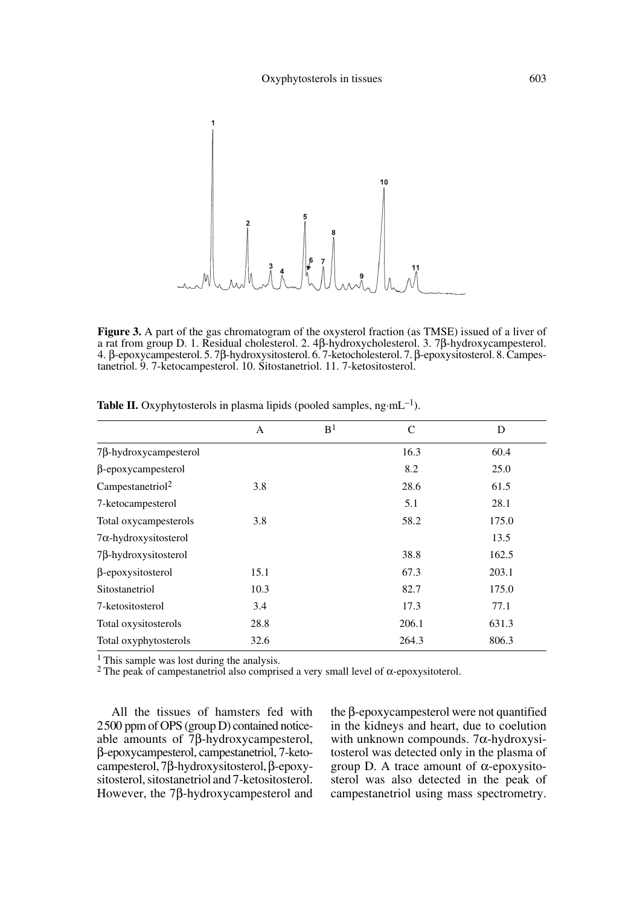

**Figure 3.** A part of the gas chromatogram of the oxysterol fraction (as TMSE) issued of a liver of a rat from group D. 1. Residual cholesterol. 2. 4β-hydroxycholesterol. 3. 7β-hydroxycampesterol. 4. β-epoxycampesterol. 5. 7β-hydroxysitosterol. 6. 7-ketocholesterol. 7. β-epoxysitosterol. 8. Campestanetriol. 9. 7-ketocampesterol. 10. Sitostanetriol. 11. 7-ketositosterol.

|                              | $\mathsf{A}$ | B <sup>1</sup> | C     | D     |
|------------------------------|--------------|----------------|-------|-------|
| $7\beta$ -hydroxycampesterol |              |                | 16.3  | 60.4  |
| $\beta$ -epoxycampesterol    |              |                | 8.2   | 25.0  |
| Campestanetriol <sup>2</sup> | 3.8          |                | 28.6  | 61.5  |
| 7-ketocampesterol            |              |                | 5.1   | 28.1  |
| Total oxycampesterols        | 3.8          |                | 58.2  | 175.0 |
| $7\alpha$ -hydroxysitosterol |              |                |       | 13.5  |
| $7\beta$ -hydroxysitosterol  |              |                | 38.8  | 162.5 |
| β-epoxysitosterol            | 15.1         |                | 67.3  | 203.1 |
| Sitostanetriol               | 10.3         |                | 82.7  | 175.0 |
| 7-ketositosterol             | 3.4          |                | 17.3  | 77.1  |
| Total oxysitosterols         | 28.8         |                | 206.1 | 631.3 |
| Total oxyphytosterols        | 32.6         |                | 264.3 | 806.3 |

**Table II.** Oxyphytosterols in plasma lipids (pooled samples, ng·mL<sup>-1</sup>).

<sup>1</sup> This sample was lost during the analysis.

2 The peak of campestanetriol also comprised a very small level of α-epoxysitoterol.

All the tissues of hamsters fed with 2500 ppm of OPS (group D) contained noticeable amounts of 7β-hydroxycampesterol, β-epoxycampesterol, campestanetriol, 7-ketocampesterol, 7β-hydroxysitosterol, β-epoxysitosterol, sitostanetriol and 7-ketositosterol. However, the 7β-hydroxycampesterol and the β-epoxycampesterol were not quantified in the kidneys and heart, due to coelution with unknown compounds. 7α-hydroxysitosterol was detected only in the plasma of group D. A trace amount of α-epoxysitosterol was also detected in the peak of campestanetriol using mass spectrometry.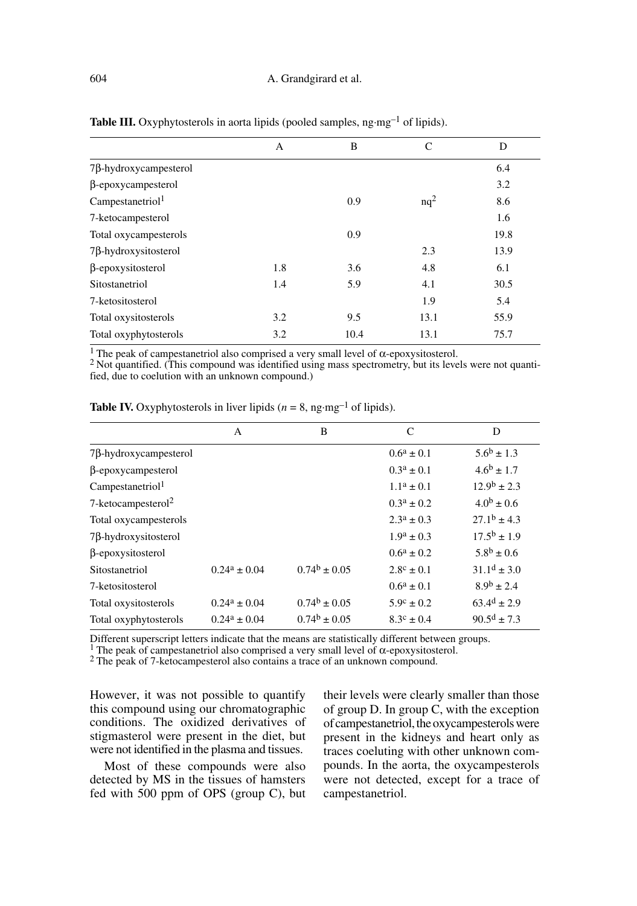|                              | $\mathbf{A}$ | B    | C      | D    |
|------------------------------|--------------|------|--------|------|
| $7\beta$ -hydroxycampesterol |              |      |        | 6.4  |
| $\beta$ -epoxycampesterol    |              |      |        | 3.2  |
| Campestanetriol <sup>1</sup> |              | 0.9  | $nq^2$ | 8.6  |
| 7-ketocampesterol            |              |      |        | 1.6  |
| Total oxycampesterols        |              | 0.9  |        | 19.8 |
| $7\beta$ -hydroxysitosterol  |              |      | 2.3    | 13.9 |
| β-epoxysitosterol            | 1.8          | 3.6  | 4.8    | 6.1  |
| Sitostanetriol               | 1.4          | 5.9  | 4.1    | 30.5 |
| 7-ketositosterol             |              |      | 1.9    | 5.4  |
| Total oxysitosterols         | 3.2          | 9.5  | 13.1   | 55.9 |
| Total oxyphytosterols        | 3.2          | 10.4 | 13.1   | 75.7 |

**Table III.** Oxyphytosterols in aorta lipids (pooled samples, ng·mg<sup>-1</sup> of lipids).

<sup>1</sup> The peak of campestanetriol also comprised a very small level of  $\alpha$ -epoxysitosterol.<br><sup>2</sup> Not quantified. (This compound was identified using mass spectrometry, but its levels were not quantified, due to coelution with an unknown compound.)

|                                   | A                 | B                 | C                     | D                         |
|-----------------------------------|-------------------|-------------------|-----------------------|---------------------------|
| $7\beta$ -hydroxycampesterol      |                   |                   | $0.6^a \pm 0.1$       | $5.6^{\rm b} \pm 1.3$     |
| $\beta$ -epoxycampesterol         |                   |                   | $0.3^a \pm 0.1$       | $4.6^{\rm b} \pm 1.7$     |
| Campestanetriol <sup>1</sup>      |                   |                   | $1.1^a \pm 0.1$       | $12.9^{\rm b} \pm 2.3$    |
| $7$ -ketocampesterol <sup>2</sup> |                   |                   | $0.3^a \pm 0.2$       | $4.0^b + 0.6$             |
| Total oxycampesterols             |                   |                   | $2.3^a \pm 0.3$       | $27.1^b \pm 4.3$          |
| $7\beta$ -hydroxysitosterol       |                   |                   | $1.9^a \pm 0.3$       | $17.5^{\rm b} + 1.9$      |
| β-epoxysitosterol                 |                   |                   | $0.6^a \pm 0.2$       | $5.8^b \pm 0.6$           |
| Sitostanetriol                    | $0.24^a \pm 0.04$ | $0.74^b \pm 0.05$ | $2.8^{\circ} \pm 0.1$ | $31.1^d + 3.0$            |
| 7-ketositosterol                  |                   |                   | $0.6^a \pm 0.1$       | $8.9^{\rm b} \pm 2.4$     |
| Total oxysitosterols              | $0.24^a \pm 0.04$ | $0.74^b \pm 0.05$ | $5.9^{\circ} \pm 0.2$ | $63.4^{d} \pm 2.9$        |
| Total oxyphytosterols             | $0.24^a \pm 0.04$ | $0.74^b \pm 0.05$ | $8.3^{\circ} \pm 0.4$ | $90.5^{\text{d}} \pm 7.3$ |

**Table IV.** Oxyphytosterols in liver lipids ( $n = 8$ , ng·mg<sup>-1</sup> of lipids).

Different superscript letters indicate that the means are statistically different between groups.<br><sup>1</sup> The peak of campestanetriol also comprised a very small level of  $\alpha$ -epoxysitosterol.<br><sup>2</sup> The peak of 7-ketocampestero

However, it was not possible to quantify this compound using our chromatographic conditions. The oxidized derivatives of stigmasterol were present in the diet, but were not identified in the plasma and tissues.

Most of these compounds were also detected by MS in the tissues of hamsters fed with 500 ppm of OPS (group C), but their levels were clearly smaller than those of group D. In group C, with the exception of campestanetriol, the oxycampesterols were present in the kidneys and heart only as traces coeluting with other unknown compounds. In the aorta, the oxycampesterols were not detected, except for a trace of campestanetriol.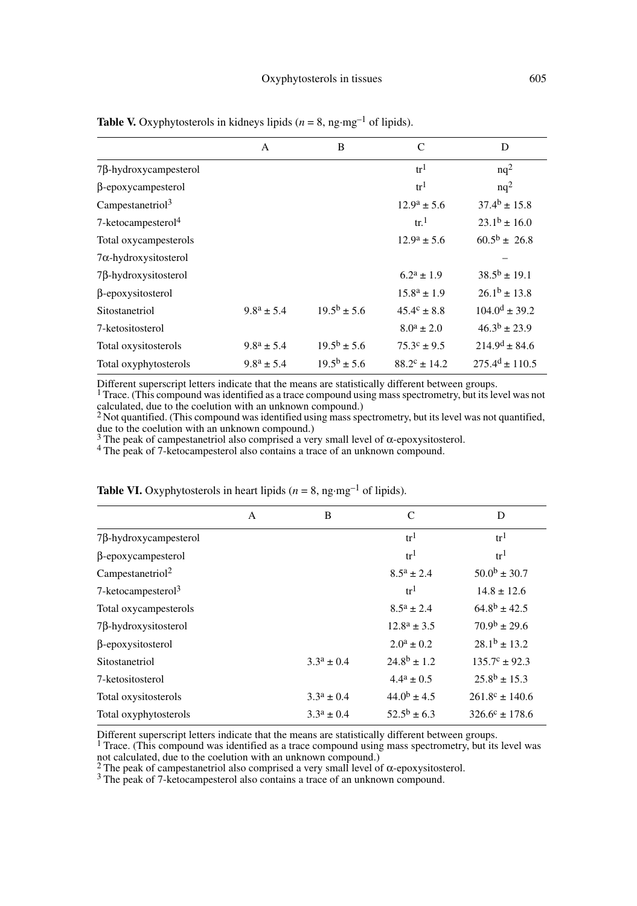|                                | A                     | B                      | C                          | D                       |
|--------------------------------|-----------------------|------------------------|----------------------------|-------------------------|
| $7\beta$ -hydroxycampesterol   |                       |                        | tr <sup>1</sup>            | $nq^2$                  |
| $\beta$ -epoxycampesterol      |                       |                        | tr <sup>1</sup>            | $nq^2$                  |
| Campestanetriol <sup>3</sup>   |                       |                        | $12.9^a \pm 5.6$           | $37.4^{\rm b} \pm 15.8$ |
| 7-ketocampesterol <sup>4</sup> |                       |                        | $\mathrm{tr}$ <sup>1</sup> | $23.1^b \pm 16.0$       |
| Total oxycampesterols          |                       |                        | $12.9^a \pm 5.6$           | $60.5^{\rm b} \pm 26.8$ |
| $7\alpha$ -hydroxysitosterol   |                       |                        |                            |                         |
| $7\beta$ -hydroxysitosterol    |                       |                        | $6.2^a \pm 1.9$            | $38.5^{\rm b} \pm 19.1$ |
| $\beta$ -epoxysitosterol       |                       |                        | $15.8^a \pm 1.9$           | $26.1b \pm 13.8$        |
| Sitostanetriol                 | $9.8^a \pm 5.4$       | $19.5^{\rm b} \pm 5.6$ | $45.4^{\circ} \pm 8.8$     | $104.0^d \pm 39.2$      |
| 7-ketositosterol               |                       |                        | $8.0^a \pm 2.0$            | $46.3^b \pm 23.9$       |
| Total oxysitosterols           | $9.8^a \pm 5.4$       | $19.5^{\rm b} \pm 5.6$ | $75.3^{\circ} \pm 9.5$     | $214.9^{d} \pm 84.6$    |
| Total oxyphytosterols          | $9.8^{\rm a} \pm 5.4$ | $19.5^{\rm b} \pm 5.6$ | $88.2^{\circ} \pm 14.2$    | $275.4^d \pm 110.5$     |

**Table V.** Oxyphytosterols in kidneys lipids ( $n = 8$ , ng·mg<sup>-1</sup> of lipids).

Different superscript letters indicate that the means are statistically different between groups.  $1$  Trace. (This compound was identified as a trace compound using mass spectrometry, but its level was not calculated, due to the coelution with an unknown compound.) 2 Not quantified. (This compound was identified using mass spectrometry, but its level was not quantified,

due to the coelution with an unknown compound.)<br><sup>3</sup> The peak of campestanetriol also comprised a very small level of α-epoxysitosterol.<br><sup>4</sup> The peak of 7-ketocampesterol also contains a trace of an unknown compound.

|                                | A | B               | C                  | D                         |
|--------------------------------|---|-----------------|--------------------|---------------------------|
| $7\beta$ -hydroxycampesterol   |   |                 | tr <sup>1</sup>    | tr <sup>1</sup>           |
| $\beta$ -epoxycampesterol      |   |                 | tr <sup>1</sup>    | tr <sup>1</sup>           |
| Campestanetriol <sup>2</sup>   |   |                 | $8.5^a \pm 2.4$    | $50.0^{\rm b} \pm 30.7$   |
| 7-ketocampesterol <sup>3</sup> |   |                 | tr <sup>1</sup>    | $14.8 \pm 12.6$           |
| Total oxycampesterols          |   |                 | $8.5^a \pm 2.4$    | $64.8^{\rm b} \pm 42.5$   |
| $7\beta$ -hydroxysitosterol    |   |                 | $12.8^a \pm 3.5$   | $70.9^{\rm b} \pm 29.6$   |
| $\beta$ -epoxysitosterol       |   |                 | $2.0^a \pm 0.2$    | $28.1^b \pm 13.2$         |
| Sitostanetriol                 |   | $3.3^a \pm 0.4$ | $24.8^{b} \pm 1.2$ | $135.7^{\circ} \pm 92.3$  |
| 7-ketositosterol               |   |                 | $4.4^a \pm 0.5$    | $25.8^{\rm b} \pm 15.3$   |
| Total oxysitosterols           |   | $3.3^a \pm 0.4$ | $44.0^b \pm 4.5$   | $261.8^{\circ} \pm 140.6$ |
| Total oxyphytosterols          |   | $3.3^a \pm 0.4$ | $52.5^b \pm 6.3$   | $326.6^{\circ} \pm 178.6$ |

**Table VI.** Oxyphytosterols in heart lipids ( $n = 8$ , ng·mg<sup>-1</sup> of lipids).

Different superscript letters indicate that the means are statistically different between groups.<br><sup>1</sup> Trace. (This compound was identified as a trace compound using mass spectrometry, but its level was not calculated, due to the coelution with an unknown compound.)<br>
<sup>2</sup> The peak of campestanetriol also comprised a very small level of α-epoxysitosterol.

<sup>3</sup> The peak of 7-ketocampesterol also contains a trace of an unknown compound.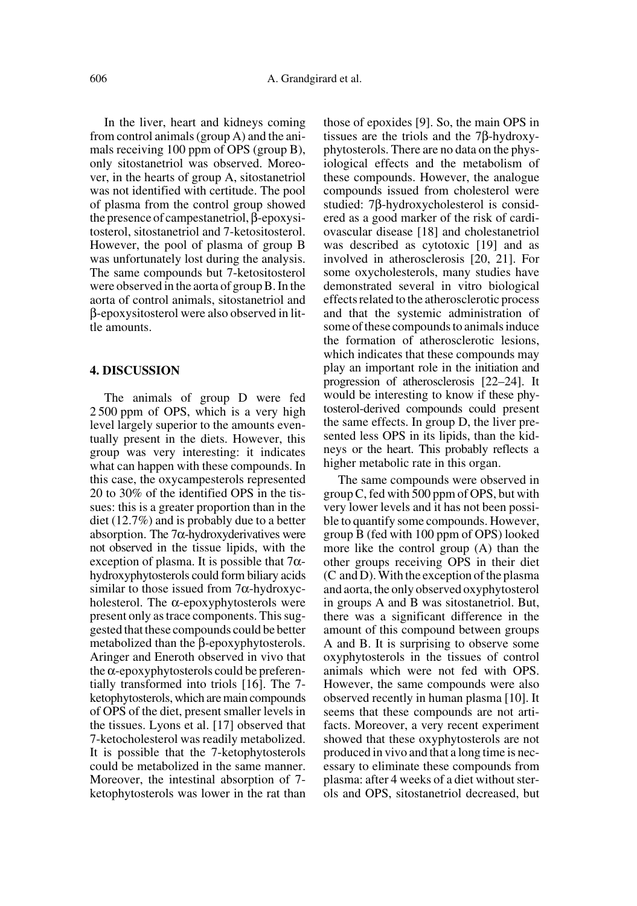In the liver, heart and kidneys coming from control animals (group A) and the animals receiving 100 ppm of OPS (group B), only sitostanetriol was observed. Moreover, in the hearts of group A, sitostanetriol was not identified with certitude. The pool of plasma from the control group showed the presence of campestanetriol, β-epoxysitosterol, sitostanetriol and 7-ketositosterol. However, the pool of plasma of group B was unfortunately lost during the analysis. The same compounds but 7-ketositosterol were observed in the aorta of group B. In the aorta of control animals, sitostanetriol and β-epoxysitosterol were also observed in little amounts.

## **4. DISCUSSION**

The animals of group D were fed 2 500 ppm of OPS, which is a very high level largely superior to the amounts eventually present in the diets. However, this group was very interesting: it indicates what can happen with these compounds. In this case, the oxycampesterols represented 20 to 30% of the identified OPS in the tissues: this is a greater proportion than in the diet (12.7%) and is probably due to a better absorption. The 7 $\alpha$ -hydroxyderivatives were not observed in the tissue lipids, with the exception of plasma. It is possible that  $7\alpha$ hydroxyphytosterols could form biliary acids similar to those issued from 7α-hydroxycholesterol. The  $\alpha$ -epoxyphytosterols were present only as trace components. This suggested that these compounds could be better metabolized than the β-epoxyphytosterols. Aringer and Eneroth observed in vivo that the α-epoxyphytosterols could be preferentially transformed into triols [16]. The 7 ketophytosterols, which are main compounds of OPS of the diet, present smaller levels in the tissues. Lyons et al. [17] observed that 7-ketocholesterol was readily metabolized. It is possible that the 7-ketophytosterols could be metabolized in the same manner. Moreover, the intestinal absorption of 7 ketophytosterols was lower in the rat than

those of epoxides [9]. So, the main OPS in tissues are the triols and the 7β-hydroxyphytosterols. There are no data on the physiological effects and the metabolism of these compounds. However, the analogue compounds issued from cholesterol were studied: 7β-hydroxycholesterol is considered as a good marker of the risk of cardiovascular disease [18] and cholestanetriol was described as cytotoxic [19] and as involved in atherosclerosis [20, 21]. For some oxycholesterols, many studies have demonstrated several in vitro biological effects related to the atherosclerotic process and that the systemic administration of some of these compounds to animals induce the formation of atherosclerotic lesions, which indicates that these compounds may play an important role in the initiation and progression of atherosclerosis [22–24]. It would be interesting to know if these phytosterol-derived compounds could present the same effects. In group D, the liver presented less OPS in its lipids, than the kidneys or the heart. This probably reflects a higher metabolic rate in this organ.

The same compounds were observed in group C, fed with 500 ppm of OPS, but with very lower levels and it has not been possible to quantify some compounds. However, group B (fed with 100 ppm of OPS) looked more like the control group (A) than the other groups receiving OPS in their diet (C and D). With the exception of the plasma and aorta, the only observed oxyphytosterol in groups A and B was sitostanetriol. But, there was a significant difference in the amount of this compound between groups A and B. It is surprising to observe some oxyphytosterols in the tissues of control animals which were not fed with OPS. However, the same compounds were also observed recently in human plasma [10]. It seems that these compounds are not artifacts. Moreover, a very recent experiment showed that these oxyphytosterols are not produced in vivo and that a long time is necessary to eliminate these compounds from plasma: after 4 weeks of a diet without sterols and OPS, sitostanetriol decreased, but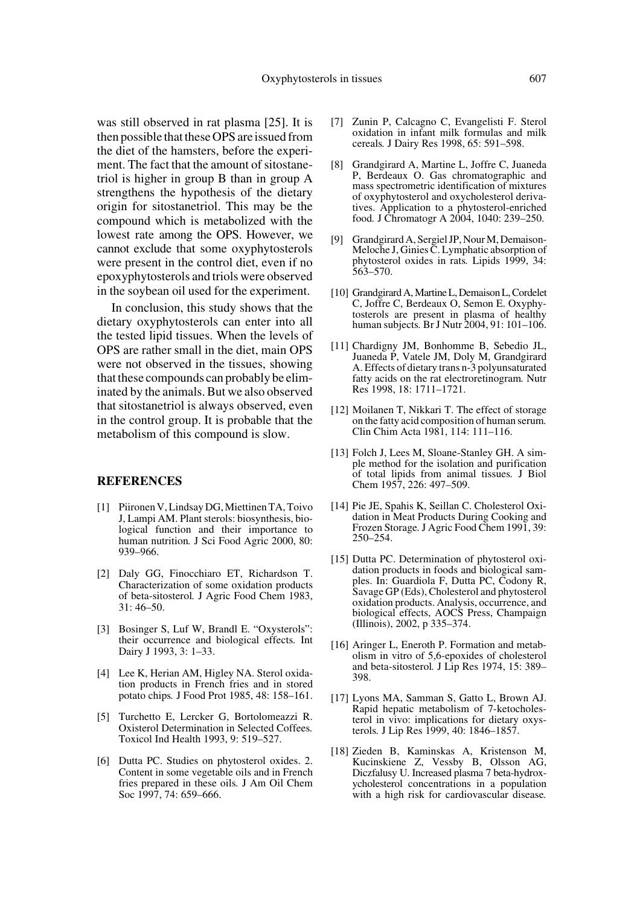was still observed in rat plasma [25]. It is then possible that these OPS are issued from the diet of the hamsters, before the experiment. The fact that the amount of sitostanetriol is higher in group B than in group A strengthens the hypothesis of the dietary origin for sitostanetriol. This may be the compound which is metabolized with the lowest rate among the OPS. However, we cannot exclude that some oxyphytosterols were present in the control diet, even if no epoxyphytosterols and triols were observed in the soybean oil used for the experiment.

In conclusion, this study shows that the dietary oxyphytosterols can enter into all the tested lipid tissues. When the levels of OPS are rather small in the diet, main OPS were not observed in the tissues, showing that these compounds can probably be eliminated by the animals. But we also observed that sitostanetriol is always observed, even in the control group. It is probable that the metabolism of this compound is slow.

## **REFERENCES**

- [1] Piironen V, Lindsay DG, Miettinen TA, Toivo J, Lampi AM. Plant sterols: biosynthesis, biological function and their importance to human nutrition*.* J Sci Food Agric 2000, 80: 939–966.
- [2] Daly GG, Finocchiaro ET, Richardson T. Characterization of some oxidation products of beta-sitosterol*.* J Agric Food Chem 1983, 31: 46–50.
- [3] Bosinger S, Luf W, Brandl E. "Oxysterols": their occurrence and biological effects*.* Int Dairy J 1993, 3: 1–33.
- [4] Lee K, Herian AM, Higley NA. Sterol oxidation products in French fries and in stored potato chips*.* J Food Prot 1985, 48: 158–161.
- [5] Turchetto E, Lercker G, Bortolomeazzi R. Oxisterol Determination in Selected Coffees*.* Toxicol Ind Health 1993, 9: 519–527.
- [6] Dutta PC. Studies on phytosterol oxides. 2. Content in some vegetable oils and in French fries prepared in these oils*.* J Am Oil Chem Soc 1997, 74: 659–666.
- [7] Zunin P, Calcagno C, Evangelisti F. Sterol oxidation in infant milk formulas and milk cereals*.* J Dairy Res 1998, 65: 591–598.
- [8] Grandgirard A, Martine L, Joffre C, Juaneda P, Berdeaux O. Gas chromatographic and mass spectrometric identification of mixtures of oxyphytosterol and oxycholesterol derivatives. Application to a phytosterol-enriched food*.* J Chromatogr A 2004, 1040: 239–250.
- [9] Grandgirard A, Sergiel JP, Nour M, Demaison-Meloche J, Ginies C. Lymphatic absorption of phytosterol oxides in rats*.* Lipids 1999, 34: 563–570.
- [10] Grandgirard A, Martine L, Demaison L, Cordelet C, Joffre C, Berdeaux O, Semon E. Oxyphytosterols are present in plasma of healthy human subjects*.* Br J Nutr 2004, 91: 101–106.
- [11] Chardigny JM, Bonhomme B, Sebedio JL, Juaneda P, Vatele JM, Doly M, Grandgirard A. Effects of dietary trans n-3 polyunsaturated fatty acids on the rat electroretinogram*.* Nutr Res 1998, 18: 1711–1721.
- [12] Moilanen T, Nikkari T. The effect of storage on the fatty acid composition of human serum*.* Clin Chim Acta 1981, 114: 111–116.
- [13] Folch J, Lees M, Sloane-Stanley GH. A simple method for the isolation and purification of total lipids from animal tissues*.* J Biol Chem 1957, 226: 497–509.
- [14] Pie JE, Spahis K, Seillan C. Cholesterol Oxidation in Meat Products During Cooking and Frozen Storage*.* J Agric Food Chem 1991, 39: 250–254.
- [15] Dutta PC. Determination of phytosterol oxidation products in foods and biological samples. In: Guardiola F, Dutta PC, Codony R, Savage GP (Eds), Cholesterol and phytosterol oxidation products. Analysis, occurrence, and biological effects, AOCS Press, Champaign (Illinois), 2002, p 335–374.
- [16] Aringer L, Eneroth P. Formation and metabolism in vitro of 5,6-epoxides of cholesterol and beta-sitosterol*.* J Lip Res 1974, 15: 389– 398.
- [17] Lyons MA, Samman S, Gatto L, Brown AJ. Rapid hepatic metabolism of 7-ketocholesterol in vivo: implications for dietary oxysterols*.* J Lip Res 1999, 40: 1846–1857.
- [18] Zieden B, Kaminskas A, Kristenson M, Kucinskiene Z, Vessby B, Olsson AG, Diczfalusy U. Increased plasma 7 beta-hydroxycholesterol concentrations in a population with a high risk for cardiovascular disease*.*